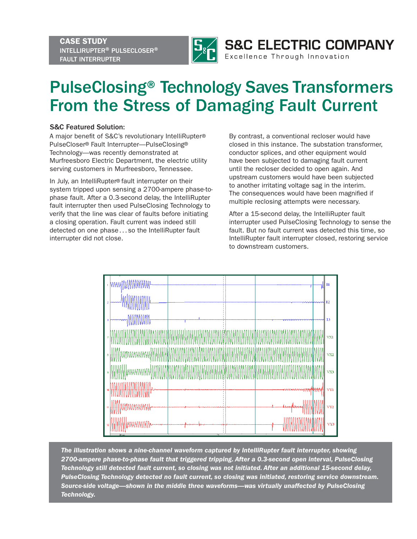CASE STUDY INTELLIRUPTER® PULSECLOSER® FAULT INTERRUPTER



Excellence Through Innovation

## PulseClosing® Technology Saves Transformers From the Stress of Damaging Fault Current

## S&C Featured Solution:

A major benefit of S&C's revolutionary IntelliRupter® PulseCloser® Fault Interrupter—PulseClosing® Technology—was recently demonstrated at Murfreesboro Electric Department, the electric utility serving customers in Murfreesboro, Tennessee.

In July, an IntelliRupter® fault interrupter on their system tripped upon sensing a 2700-ampere phase-tophase fault. After a 0.3-second delay, the IntelliRupter fault interrupter then used PulseClosing Technology to verify that the line was clear of faults before initiating a closing operation. Fault current was indeed still detected on one phase...so the IntelliRupter fault interrupter did not close.

By contrast, a conventional recloser would have closed in this instance. The substation transformer, conductor splices, and other equipment would have been subjected to damaging fault current until the recloser decided to open again. And upstream customers would have been subjected to another irritating voltage sag in the interim. The consequences would have been magnified if multiple reclosing attempts were necessary.

After a 15-second delay, the IntelliRupter fault interrupter used PulseClosing Technology to sense the fault. But no fault current was detected this time, so IntelliRupter fault interrupter closed, restoring service to downstream customers.



*The illustration shows a nine-channel waveform captured by IntelliRupter fault interrupter, showing 2700-ampere phase-to-phase fault that triggered tripping. After a 0.3-second open interval, PulseClosing Technology still detected fault current, so closing was not initiated. After an additional 15-second delay, PulseClosing Technology detected no fault current, so closing was initiated, restoring service downstream. Source-side voltage—shown in the middle three waveforms—was virtually unaffected by PulseClosing Technology.*